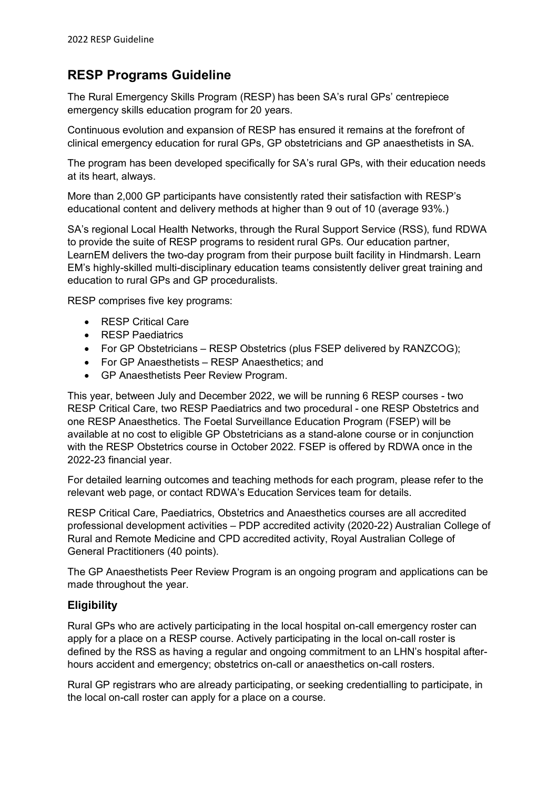# **RESP Programs Guideline**

The Rural Emergency Skills Program (RESP) has been SA's rural GPs' centrepiece emergency skills education program for 20 years.

Continuous evolution and expansion of RESP has ensured it remains at the forefront of clinical emergency education for rural GPs, GP obstetricians and GP anaesthetists in SA.

The program has been developed specifically for SA's rural GPs, with their education needs at its heart, always.

More than 2,000 GP participants have consistently rated their satisfaction with RESP's educational content and delivery methods at higher than 9 out of 10 (average 93%.)

SA's regional Local Health Networks, through the Rural Support Service (RSS), fund RDWA to provide the suite of RESP programs to resident rural GPs. Our education partner, LearnEM delivers the two-day program from their purpose built facility in Hindmarsh. Learn EM's highly-skilled multi-disciplinary education teams consistently deliver great training and education to rural GPs and GP proceduralists.

RESP comprises five key programs:

- RESP Critical Care
- RESP Paediatrics
- For GP Obstetricians RESP Obstetrics (plus FSEP delivered by RANZCOG);
- For GP Anaesthetists RESP Anaesthetics; and
- GP Anaesthetists Peer Review Program.

This year, between July and December 2022, we will be running 6 RESP courses - two RESP Critical Care, two RESP Paediatrics and two procedural - one RESP Obstetrics and one RESP Anaesthetics. The Foetal Surveillance Education Program (FSEP) will be available at no cost to eligible GP Obstetricians as a stand-alone course or in conjunction with the RESP Obstetrics course in October 2022. FSEP is offered by RDWA once in the 2022-23 financial year.

For detailed learning outcomes and teaching methods for each program, please refer to the relevant web page, or contact RDWA's Education Services team for details.

RESP Critical Care, Paediatrics, Obstetrics and Anaesthetics courses are all accredited professional development activities – PDP accredited activity (2020-22) Australian College of Rural and Remote Medicine and CPD accredited activity, Royal Australian College of General Practitioners (40 points).

The GP Anaesthetists Peer Review Program is an ongoing program and applications can be made throughout the year.

# **Eligibility**

Rural GPs who are actively participating in the local hospital on-call emergency roster can apply for a place on a RESP course. Actively participating in the local on-call roster is defined by the RSS as having a regular and ongoing commitment to an LHN's hospital afterhours accident and emergency; obstetrics on-call or anaesthetics on-call rosters.

Rural GP registrars who are already participating, or seeking credentialling to participate, in the local on-call roster can apply for a place on a course.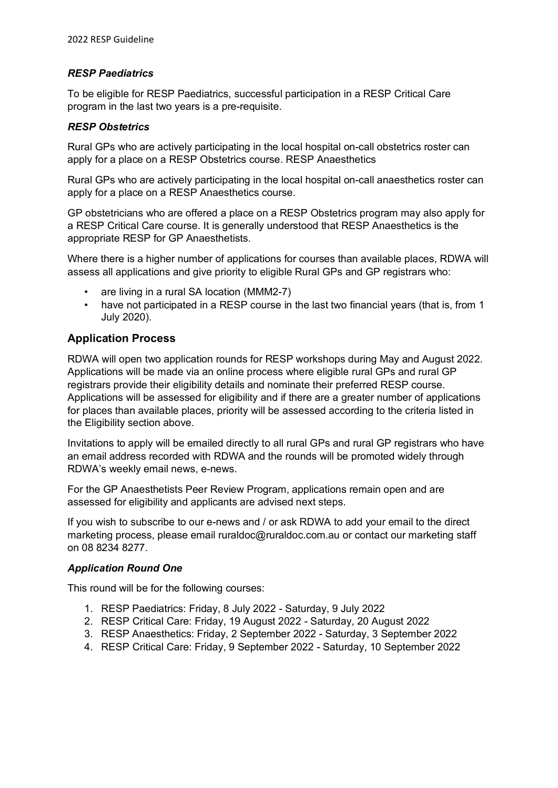### *RESP Paediatrics*

To be eligible for RESP Paediatrics, successful participation in a RESP Critical Care program in the last two years is a pre-requisite.

#### *RESP Obstetrics*

Rural GPs who are actively participating in the local hospital on-call obstetrics roster can apply for a place on a RESP Obstetrics course. RESP Anaesthetics

Rural GPs who are actively participating in the local hospital on-call anaesthetics roster can apply for a place on a RESP Anaesthetics course.

GP obstetricians who are offered a place on a RESP Obstetrics program may also apply for a RESP Critical Care course. It is generally understood that RESP Anaesthetics is the appropriate RESP for GP Anaesthetists.

Where there is a higher number of applications for courses than available places, RDWA will assess all applications and give priority to eligible Rural GPs and GP registrars who:

- are living in a rural SA location (MMM2-7)
- have not participated in a RESP course in the last two financial years (that is, from 1) July 2020).

## **Application Process**

RDWA will open two application rounds for RESP workshops during May and August 2022. Applications will be made via an online process where eligible rural GPs and rural GP registrars provide their eligibility details and nominate their preferred RESP course. Applications will be assessed for eligibility and if there are a greater number of applications for places than available places, priority will be assessed according to the criteria listed in the Eligibility section above.

Invitations to apply will be emailed directly to all rural GPs and rural GP registrars who have an email address recorded with RDWA and the rounds will be promoted widely through RDWA's weekly email news, e-news.

For the GP Anaesthetists Peer Review Program, applications remain open and are assessed for eligibility and applicants are advised next steps.

If you wish to subscribe to our e-news and / or ask RDWA to add your email to the direct marketing process, please email ruraldoc@ruraldoc.com.au or contact our marketing staff on 08 8234 8277.

## *Application Round One*

This round will be for the following courses:

- 1. RESP Paediatrics: Friday, 8 July 2022 Saturday, 9 July 2022
- 2. RESP Critical Care: Friday, 19 August 2022 Saturday, 20 August 2022
- 3. RESP Anaesthetics: Friday, 2 September 2022 Saturday, 3 September 2022
- 4. RESP Critical Care: Friday, 9 September 2022 Saturday, 10 September 2022